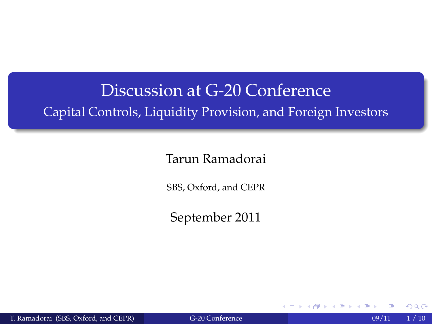## Discussion at G-20 Conference Capital Controls, Liquidity Provision, and Foreign Investors

#### Tarun Ramadorai

SBS, Oxford, and CEPR

September 2011

T. Ramadorai (SBS, Oxford, and CEPR) [G-20 Conference](#page-21-0) 09/11 1/10

 $\leftarrow$ 

<span id="page-0-0"></span> $\Omega$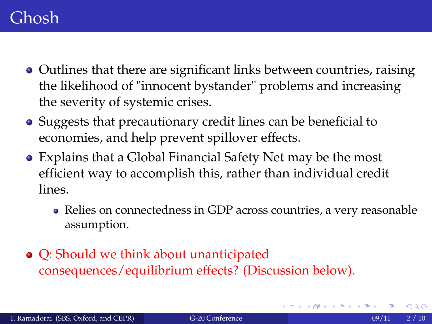#### Ghosh

- Outlines that there are significant links between countries, raising the likelihood of "innocent bystander" problems and increasing the severity of systemic crises.
- Suggests that precautionary credit lines can be beneficial to economies, and help prevent spillover effects.
- Explains that a Global Financial Safety Net may be the most efficient way to accomplish this, rather than individual credit lines.
	- Relies on connectedness in GDP across countries, a very reasonable assumption.
- Q: Should we think about unanticipated consequences/equilibrium effects? (Discussion below).

つへへ

→ イ磨 → イ磨 →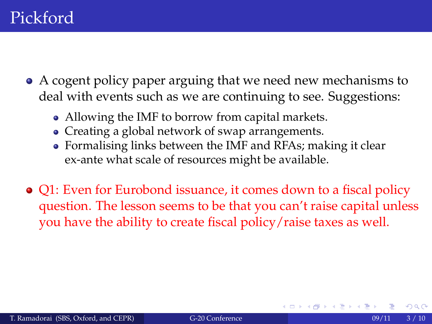- A cogent policy paper arguing that we need new mechanisms to deal with events such as we are continuing to see. Suggestions:
	- Allowing the IMF to borrow from capital markets.
	- Creating a global network of swap arrangements.
	- Formalising links between the IMF and RFAs; making it clear ex-ante what scale of resources might be available.
- Q1: Even for Eurobond issuance, it comes down to a fiscal policy question. The lesson seems to be that you can't raise capital unless you have the ability to create fiscal policy/raise taxes as well.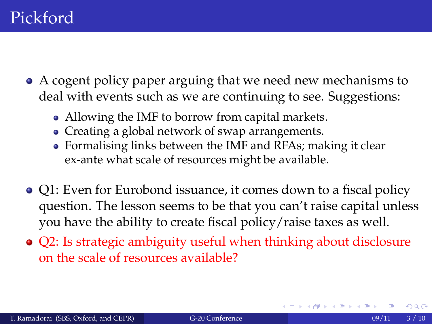- A cogent policy paper arguing that we need new mechanisms to deal with events such as we are continuing to see. Suggestions:
	- Allowing the IMF to borrow from capital markets.
	- Creating a global network of swap arrangements.
	- Formalising links between the IMF and RFAs; making it clear ex-ante what scale of resources might be available.
- Q1: Even for Eurobond issuance, it comes down to a fiscal policy question. The lesson seems to be that you can't raise capital unless you have the ability to create fiscal policy/raise taxes as well.
- Q2: Is strategic ambiguity useful when thinking about disclosure on the scale of resources available?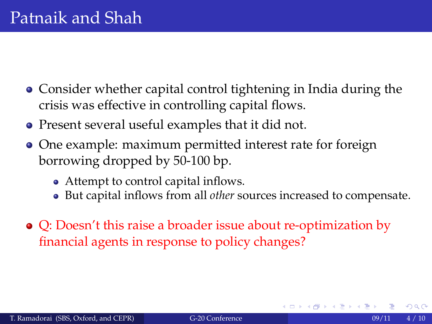- Consider whether capital control tightening in India during the crisis was effective in controlling capital flows.
- Present several useful examples that it did not.
- One example: maximum permitted interest rate for foreign borrowing dropped by 50-100 bp.
	- Attempt to control capital inflows.
	- But capital inflows from all *other* sources increased to compensate.
- Q: Doesn't this raise a broader issue about re-optimization by financial agents in response to policy changes?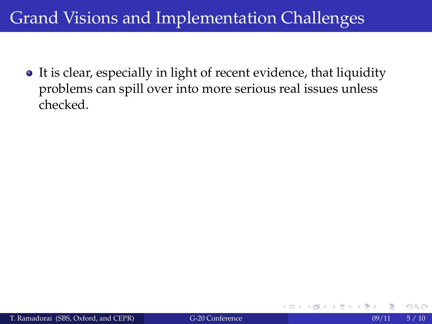• It is clear, especially in light of recent evidence, that liquidity problems can spill over into more serious real issues unless checked.

 $\Omega$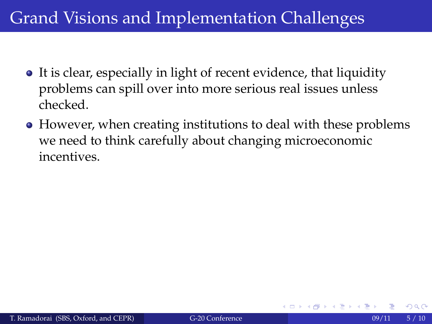- It is clear, especially in light of recent evidence, that liquidity problems can spill over into more serious real issues unless checked.
- However, when creating institutions to deal with these problems we need to think carefully about changing microeconomic incentives.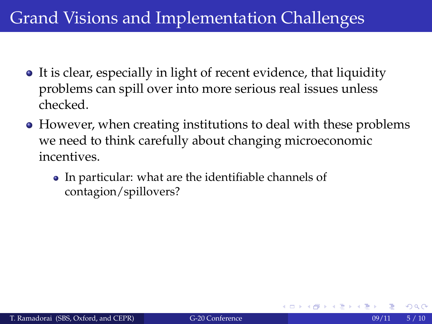- It is clear, especially in light of recent evidence, that liquidity problems can spill over into more serious real issues unless checked.
- However, when creating institutions to deal with these problems we need to think carefully about changing microeconomic incentives.
	- In particular: what are the identifiable channels of contagion/spillovers?

 $\Omega$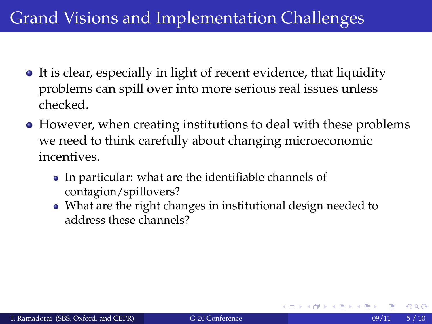- It is clear, especially in light of recent evidence, that liquidity problems can spill over into more serious real issues unless checked.
- However, when creating institutions to deal with these problems we need to think carefully about changing microeconomic incentives.
	- In particular: what are the identifiable channels of contagion/spillovers?
	- What are the right changes in institutional design needed to address these channels?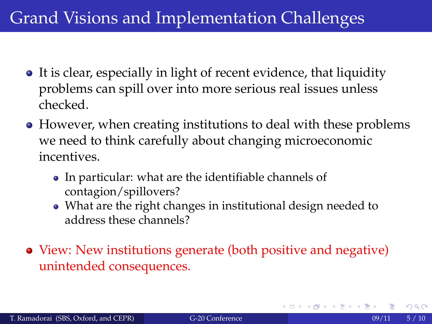- It is clear, especially in light of recent evidence, that liquidity problems can spill over into more serious real issues unless checked.
- However, when creating institutions to deal with these problems we need to think carefully about changing microeconomic incentives.
	- In particular: what are the identifiable channels of contagion/spillovers?
	- What are the right changes in institutional design needed to address these channels?
- View: New institutions generate (both positive and negative) unintended consequences.

メイモメイモメー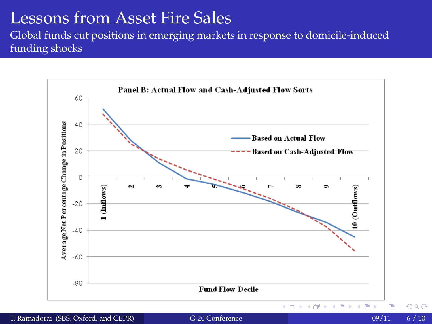#### Lessons from Asset Fire Sales

Global funds cut positions in emerging markets in response to domicile-induced funding shocks



T. Ramadorai (SBS, Oxford, and CEPR) [G-20 Conference](#page-0-0) 09/11 6 / 10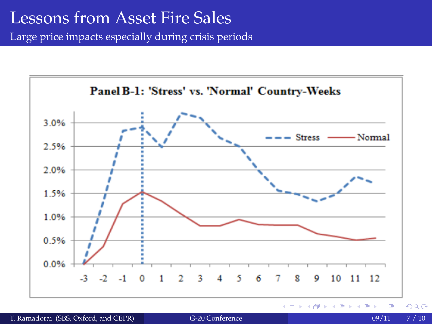#### Lessons from Asset Fire Sales

Large price impacts especially during crisis periods



T. Ramadorai (SBS, Oxford, and CEPR) [G-20 Conference](#page-0-0) 6 Conference 09/11 7 / 10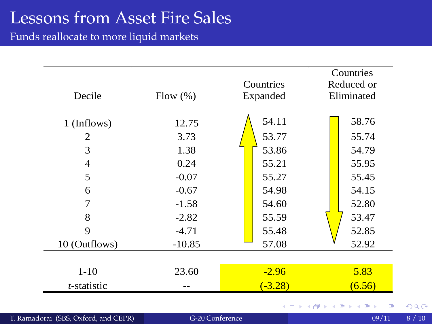### Lessons from Asset Fire Sales

Funds reallocate to more liquid markets

|                  |               | Countries      | Countries<br>Reduced or |
|------------------|---------------|----------------|-------------------------|
| Decile           | Flow (%)      | Expanded       | Eliminated              |
| 1 (Inflows)<br>2 | 12.75<br>3.73 | 54.11<br>53.77 | 58.76<br>55.74          |
| 3                | 1.38          | 53.86          | 54.79                   |
| 4                | 0.24          | 55.21          | 55.95                   |
| 5                | $-0.07$       | 55.27          | 55.45                   |
| 6                | $-0.67$       | 54.98          | 54.15                   |
| 7                | $-1.58$       | 54.60          | 52.80                   |
| 8                | $-2.82$       | 55.59          | 53.47                   |
| 9                | $-4.71$       | 55.48          | 52.85                   |
| 10 (Outflows)    | $-10.85$      | 57.08          | 52.92                   |
|                  |               |                |                         |
| $1 - 10$         | 23.60         | $-2.96$        | 5.83                    |
| t-statistic      |               | $(-3.28)$      | (6.56)                  |
|                  |               |                | メロトメ 御 トメ 君 トメ 君 トッ 君   |

T. Ramadorai (SBS, Oxford, and CEPR) [G-20 Conference](#page-0-0) 09/11 8 / 10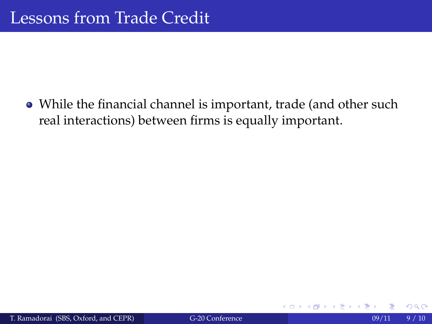While the financial channel is important, trade (and other such real interactions) between firms is equally important.

4 0 F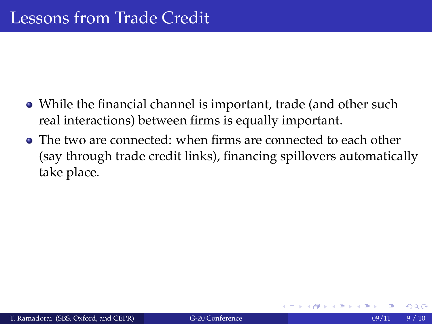- While the financial channel is important, trade (and other such real interactions) between firms is equally important.
- The two are connected: when firms are connected to each other (say through trade credit links), financing spillovers automatically take place.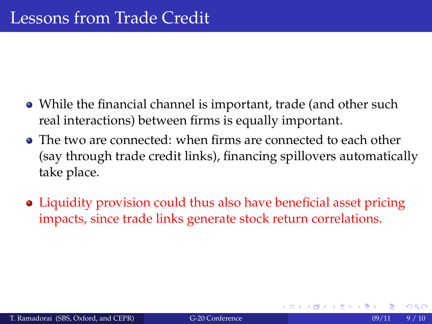- While the financial channel is important, trade (and other such real interactions) between firms is equally important.
- The two are connected: when firms are connected to each other (say through trade credit links), financing spillovers automatically take place.
- Liquidity provision could thus also have beneficial asset pricing impacts, since trade links generate stock return correlations.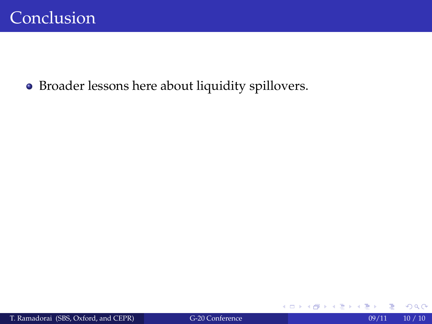Broader lessons here about liquidity spillovers.

+ □ ▶ + *□* 

→ イヨ → イヨ

 $299$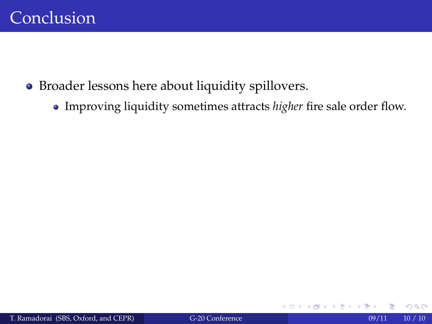- Broader lessons here about liquidity spillovers.
	- Improving liquidity sometimes attracts *higher* fire sale order flow.

4 0 8 4

ヨメ モヨ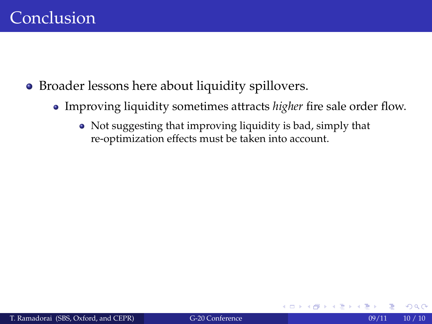- Broader lessons here about liquidity spillovers.
	- Improving liquidity sometimes attracts *higher* fire sale order flow.
		- Not suggesting that improving liquidity is bad, simply that re-optimization effects must be taken into account.

4 0 8 4

トイラトイラト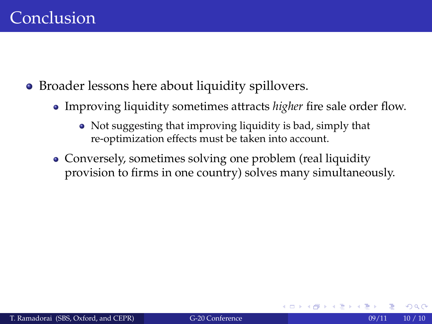- Broader lessons here about liquidity spillovers.
	- Improving liquidity sometimes attracts *higher* fire sale order flow.
		- Not suggesting that improving liquidity is bad, simply that re-optimization effects must be taken into account.
	- Conversely, sometimes solving one problem (real liquidity provision to firms in one country) solves many simultaneously.

つくへ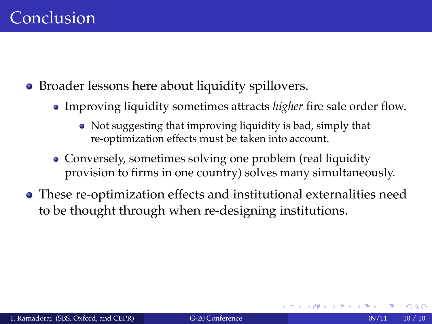- Broader lessons here about liquidity spillovers.
	- Improving liquidity sometimes attracts *higher* fire sale order flow.
		- Not suggesting that improving liquidity is bad, simply that re-optimization effects must be taken into account.
	- Conversely, sometimes solving one problem (real liquidity provision to firms in one country) solves many simultaneously.
- These re-optimization effects and institutional externalities need to be thought through when re-designing institutions.

つくへ